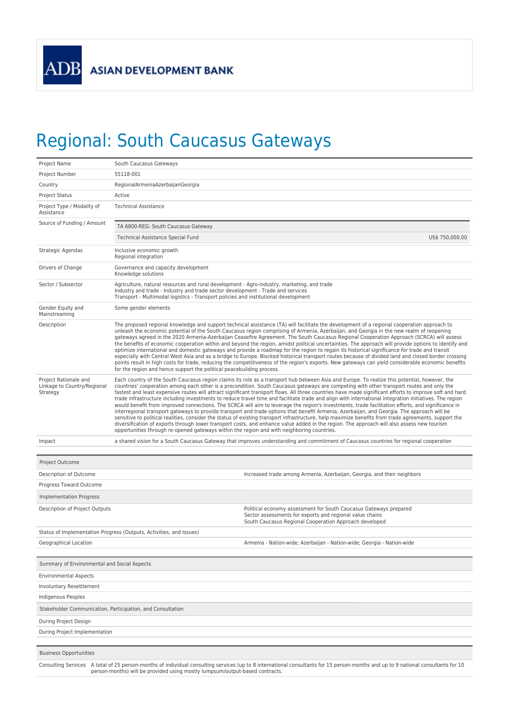## Regional: South Caucasus Gateways

| Project Name                                                                                                                                                                                                                                                      | South Caucasus Gateways                                                                                                                                                                                                                                                                                                                                                                                                                                                                                                                                                                                                                                                                                                                                                                                                                                                                                                                                                                                                                                                                                                                                                                                                                                                                                                  |                                                                                                                                                                                         |  |  |
|-------------------------------------------------------------------------------------------------------------------------------------------------------------------------------------------------------------------------------------------------------------------|--------------------------------------------------------------------------------------------------------------------------------------------------------------------------------------------------------------------------------------------------------------------------------------------------------------------------------------------------------------------------------------------------------------------------------------------------------------------------------------------------------------------------------------------------------------------------------------------------------------------------------------------------------------------------------------------------------------------------------------------------------------------------------------------------------------------------------------------------------------------------------------------------------------------------------------------------------------------------------------------------------------------------------------------------------------------------------------------------------------------------------------------------------------------------------------------------------------------------------------------------------------------------------------------------------------------------|-----------------------------------------------------------------------------------------------------------------------------------------------------------------------------------------|--|--|
| Project Number                                                                                                                                                                                                                                                    | 55118-001                                                                                                                                                                                                                                                                                                                                                                                                                                                                                                                                                                                                                                                                                                                                                                                                                                                                                                                                                                                                                                                                                                                                                                                                                                                                                                                |                                                                                                                                                                                         |  |  |
| Country                                                                                                                                                                                                                                                           | RegionalArmeniaAzerbaijanGeorgia                                                                                                                                                                                                                                                                                                                                                                                                                                                                                                                                                                                                                                                                                                                                                                                                                                                                                                                                                                                                                                                                                                                                                                                                                                                                                         |                                                                                                                                                                                         |  |  |
| Project Status                                                                                                                                                                                                                                                    | Active                                                                                                                                                                                                                                                                                                                                                                                                                                                                                                                                                                                                                                                                                                                                                                                                                                                                                                                                                                                                                                                                                                                                                                                                                                                                                                                   |                                                                                                                                                                                         |  |  |
| Project Type / Modality of<br>Assistance                                                                                                                                                                                                                          | <b>Technical Assistance</b>                                                                                                                                                                                                                                                                                                                                                                                                                                                                                                                                                                                                                                                                                                                                                                                                                                                                                                                                                                                                                                                                                                                                                                                                                                                                                              |                                                                                                                                                                                         |  |  |
| Source of Funding / Amount                                                                                                                                                                                                                                        | TA 6800-REG: South Caucasus Gateway                                                                                                                                                                                                                                                                                                                                                                                                                                                                                                                                                                                                                                                                                                                                                                                                                                                                                                                                                                                                                                                                                                                                                                                                                                                                                      |                                                                                                                                                                                         |  |  |
|                                                                                                                                                                                                                                                                   | Technical Assistance Special Fund                                                                                                                                                                                                                                                                                                                                                                                                                                                                                                                                                                                                                                                                                                                                                                                                                                                                                                                                                                                                                                                                                                                                                                                                                                                                                        | US\$ 750,000.00                                                                                                                                                                         |  |  |
| Strategic Agendas                                                                                                                                                                                                                                                 | Inclusive economic growth<br>Regional integration                                                                                                                                                                                                                                                                                                                                                                                                                                                                                                                                                                                                                                                                                                                                                                                                                                                                                                                                                                                                                                                                                                                                                                                                                                                                        |                                                                                                                                                                                         |  |  |
| Drivers of Change                                                                                                                                                                                                                                                 | Governance and capacity development<br>Knowledge solutions                                                                                                                                                                                                                                                                                                                                                                                                                                                                                                                                                                                                                                                                                                                                                                                                                                                                                                                                                                                                                                                                                                                                                                                                                                                               |                                                                                                                                                                                         |  |  |
| Sector / Subsector                                                                                                                                                                                                                                                | Agriculture, natural resources and rural development - Agro-industry, marketing, and trade<br>Industry and trade - Industry and trade sector development - Trade and services<br>Transport - Multimodal logistics - Transport policies and institutional development                                                                                                                                                                                                                                                                                                                                                                                                                                                                                                                                                                                                                                                                                                                                                                                                                                                                                                                                                                                                                                                     |                                                                                                                                                                                         |  |  |
| Gender Equity and<br>Mainstreaming                                                                                                                                                                                                                                | Some gender elements                                                                                                                                                                                                                                                                                                                                                                                                                                                                                                                                                                                                                                                                                                                                                                                                                                                                                                                                                                                                                                                                                                                                                                                                                                                                                                     |                                                                                                                                                                                         |  |  |
| Description                                                                                                                                                                                                                                                       | The proposed regional knowledge and support technical assistance (TA) will facilitate the development of a regional cooperation approach to<br>unleash the economic potential of the South Caucasus region comprising of Armenia, Azerbaijan, and Georgia in the new realm of reopening<br>gateways agreed in the 2020 Armenia-Azerbaijan Ceasefire Agreement. The South Caucasus Regional Cooperation Approach (SCRCA) will assess<br>the benefits of economic cooperation within and beyond the region, amidst political uncertainties. The approach will provide options to identify and<br>optimize international and domestic gateways and provide a roadmap for the region to regain its historical significance for trade and transit<br>especially with Central West Asia and as a bridge to Europe. Blocked historical transport routes because of divided land and closed border crossing<br>points result in high costs for trade, reducing the competitiveness of the region's exports. New gateways can yield considerable economic benefits<br>for the region and hence support the political peacebuilding process.                                                                                                                                                                                       |                                                                                                                                                                                         |  |  |
| Project Rationale and<br>Linkage to Country/Regional<br>Strategy                                                                                                                                                                                                  | Each country of the South Caucasus region claims its role as a transport hub between Asia and Europe. To realize this potential, however, the<br>countries' cooperation among each other is a precondition. South Caucasus gateways are competing with other transport routes and only the<br>fastest and least expensive routes will attract significant transport flows. All three countries have made significant efforts to improve soft and hard<br>trade infrastructure including investments to reduce travel time and facilitate trade and align with international integration initiatives. The region<br>would benefit from improved connections. The SCRCA will aim to leverage the region's investments, trade facilitation efforts, and significance in<br>interregional transport gateways to provide transport and trade options that benefit Armenia, Azerbaijan, and Georgia. The approach will be<br>sensitive to political realities, consider the status of existing transport infrastructure, help maximize benefits from trade agreements, support the<br>diversification of exports through lower transport costs, and enhance value added in the region. The approach will also assess new tourism<br>opportunities through re-opened gateways within the region and with neighboring countries. |                                                                                                                                                                                         |  |  |
| Impact                                                                                                                                                                                                                                                            | a shared vision for a South Caucasus Gateway that improves understanding and commitment of Caucasus countries for regional cooperation                                                                                                                                                                                                                                                                                                                                                                                                                                                                                                                                                                                                                                                                                                                                                                                                                                                                                                                                                                                                                                                                                                                                                                                   |                                                                                                                                                                                         |  |  |
|                                                                                                                                                                                                                                                                   |                                                                                                                                                                                                                                                                                                                                                                                                                                                                                                                                                                                                                                                                                                                                                                                                                                                                                                                                                                                                                                                                                                                                                                                                                                                                                                                          |                                                                                                                                                                                         |  |  |
| Project Outcome                                                                                                                                                                                                                                                   |                                                                                                                                                                                                                                                                                                                                                                                                                                                                                                                                                                                                                                                                                                                                                                                                                                                                                                                                                                                                                                                                                                                                                                                                                                                                                                                          |                                                                                                                                                                                         |  |  |
| Description of Outcome                                                                                                                                                                                                                                            |                                                                                                                                                                                                                                                                                                                                                                                                                                                                                                                                                                                                                                                                                                                                                                                                                                                                                                                                                                                                                                                                                                                                                                                                                                                                                                                          | Increased trade among Armenia, Azerbaijan, Georgia, and their neighbors                                                                                                                 |  |  |
| Progress Toward Outcome                                                                                                                                                                                                                                           |                                                                                                                                                                                                                                                                                                                                                                                                                                                                                                                                                                                                                                                                                                                                                                                                                                                                                                                                                                                                                                                                                                                                                                                                                                                                                                                          |                                                                                                                                                                                         |  |  |
| <b>Implementation Progress</b>                                                                                                                                                                                                                                    |                                                                                                                                                                                                                                                                                                                                                                                                                                                                                                                                                                                                                                                                                                                                                                                                                                                                                                                                                                                                                                                                                                                                                                                                                                                                                                                          |                                                                                                                                                                                         |  |  |
| Description of Project Outputs                                                                                                                                                                                                                                    |                                                                                                                                                                                                                                                                                                                                                                                                                                                                                                                                                                                                                                                                                                                                                                                                                                                                                                                                                                                                                                                                                                                                                                                                                                                                                                                          | Political economy assessment for South Caucasus Gateways prepared<br>Sector assessments for exports and regional value chains<br>South Caucasus Regional Cooperation Approach developed |  |  |
| Status of Implementation Progress (Outputs, Activities, and Issues)                                                                                                                                                                                               |                                                                                                                                                                                                                                                                                                                                                                                                                                                                                                                                                                                                                                                                                                                                                                                                                                                                                                                                                                                                                                                                                                                                                                                                                                                                                                                          |                                                                                                                                                                                         |  |  |
| Geographical Location                                                                                                                                                                                                                                             |                                                                                                                                                                                                                                                                                                                                                                                                                                                                                                                                                                                                                                                                                                                                                                                                                                                                                                                                                                                                                                                                                                                                                                                                                                                                                                                          | Armenia - Nation-wide; Azerbaijan - Nation-wide; Georgia - Nation-wide                                                                                                                  |  |  |
| Summary of Environmental and Social Aspects                                                                                                                                                                                                                       |                                                                                                                                                                                                                                                                                                                                                                                                                                                                                                                                                                                                                                                                                                                                                                                                                                                                                                                                                                                                                                                                                                                                                                                                                                                                                                                          |                                                                                                                                                                                         |  |  |
| <b>Environmental Aspects</b>                                                                                                                                                                                                                                      |                                                                                                                                                                                                                                                                                                                                                                                                                                                                                                                                                                                                                                                                                                                                                                                                                                                                                                                                                                                                                                                                                                                                                                                                                                                                                                                          |                                                                                                                                                                                         |  |  |
| <b>Involuntary Resettlement</b>                                                                                                                                                                                                                                   |                                                                                                                                                                                                                                                                                                                                                                                                                                                                                                                                                                                                                                                                                                                                                                                                                                                                                                                                                                                                                                                                                                                                                                                                                                                                                                                          |                                                                                                                                                                                         |  |  |
| Indigenous Peoples                                                                                                                                                                                                                                                |                                                                                                                                                                                                                                                                                                                                                                                                                                                                                                                                                                                                                                                                                                                                                                                                                                                                                                                                                                                                                                                                                                                                                                                                                                                                                                                          |                                                                                                                                                                                         |  |  |
| Stakeholder Communication, Participation, and Consultation                                                                                                                                                                                                        |                                                                                                                                                                                                                                                                                                                                                                                                                                                                                                                                                                                                                                                                                                                                                                                                                                                                                                                                                                                                                                                                                                                                                                                                                                                                                                                          |                                                                                                                                                                                         |  |  |
| During Project Design                                                                                                                                                                                                                                             |                                                                                                                                                                                                                                                                                                                                                                                                                                                                                                                                                                                                                                                                                                                                                                                                                                                                                                                                                                                                                                                                                                                                                                                                                                                                                                                          |                                                                                                                                                                                         |  |  |
| During Project Implementation                                                                                                                                                                                                                                     |                                                                                                                                                                                                                                                                                                                                                                                                                                                                                                                                                                                                                                                                                                                                                                                                                                                                                                                                                                                                                                                                                                                                                                                                                                                                                                                          |                                                                                                                                                                                         |  |  |
| <b>Business Opportunities</b>                                                                                                                                                                                                                                     |                                                                                                                                                                                                                                                                                                                                                                                                                                                                                                                                                                                                                                                                                                                                                                                                                                                                                                                                                                                                                                                                                                                                                                                                                                                                                                                          |                                                                                                                                                                                         |  |  |
| Consulting Services A total of 25 person-months of individual consulting services (up to 8 international consultants for 15 person-months and up to 9 national consultants for 10<br>person-months) will be provided using mostly lumpsum/output-based contracts. |                                                                                                                                                                                                                                                                                                                                                                                                                                                                                                                                                                                                                                                                                                                                                                                                                                                                                                                                                                                                                                                                                                                                                                                                                                                                                                                          |                                                                                                                                                                                         |  |  |